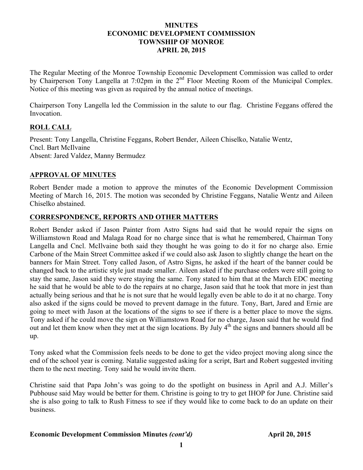### **MINUTES ECONOMIC DEVELOPMENT COMMISSION TOWNSHIP OF MONROE APRIL 20, 2015**

The Regular Meeting of the Monroe Township Economic Development Commission was called to order by Chairperson Tony Langella at 7:02pm in the 2<sup>nd</sup> Floor Meeting Room of the Municipal Complex. Notice of this meeting was given as required by the annual notice of meetings.

Chairperson Tony Langella led the Commission in the salute to our flag. Christine Feggans offered the Invocation.

# **ROLL CALL**

Present: Tony Langella, Christine Feggans, Robert Bender, Aileen Chiselko, Natalie Wentz, Cncl. Bart McIlvaine Absent: Jared Valdez, Manny Bermudez

### **APPROVAL OF MINUTES**

Robert Bender made a motion to approve the minutes of the Economic Development Commission Meeting of March 16, 2015. The motion was seconded by Christine Feggans, Natalie Wentz and Aileen Chiselko abstained.

### **CORRESPONDENCE, REPORTS AND OTHER MATTERS**

Robert Bender asked if Jason Painter from Astro Signs had said that he would repair the signs on Williamstown Road and Malaga Road for no charge since that is what he remembered, Chairman Tony Langella and Cncl. McIlvaine both said they thought he was going to do it for no charge also. Ernie Carbone of the Main Street Committee asked if we could also ask Jason to slightly change the heart on the banners for Main Street. Tony called Jason, of Astro Signs, he asked if the heart of the banner could be changed back to the artistic style just made smaller. Aileen asked if the purchase orders were still going to stay the same, Jason said they were staying the same. Tony stated to him that at the March EDC meeting he said that he would be able to do the repairs at no charge, Jason said that he took that more in jest than actually being serious and that he is not sure that he would legally even be able to do it at no charge. Tony also asked if the signs could be moved to prevent damage in the future. Tony, Bart, Jared and Ernie are going to meet with Jason at the locations of the signs to see if there is a better place to move the signs. Tony asked if he could move the sign on Williamstown Road for no charge, Jason said that he would find out and let them know when they met at the sign locations. By July 4<sup>th</sup> the signs and banners should all be up.

Tony asked what the Commission feels needs to be done to get the video project moving along since the end of the school year is coming. Natalie suggested asking for a script, Bart and Robert suggested inviting them to the next meeting. Tony said he would invite them.

Christine said that Papa John's was going to do the spotlight on business in April and A.J. Miller's Pubhouse said May would be better for them. Christine is going to try to get IHOP for June. Christine said she is also going to talk to Rush Fitness to see if they would like to come back to do an update on their business.

#### **Economic Development Commission Minutes** *(cont'd)* **April 20, 2015**